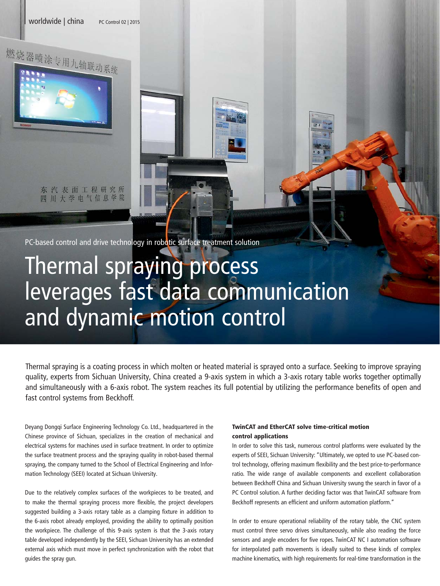worldwide | china PC Control 02 | 2015

东汽表面工程研究所 四川大学电气信息学院

燃烧器喷涂专用九轴联动系统

PC-based control and drive technology in robotic surface treatment solution

## Thermal spraying process leverages fast data communication and dynamic motion control

Thermal spraying is a coating process in which molten or heated material is sprayed onto a surface. Seeking to improve spraying quality, experts from Sichuan University, China created a 9-axis system in which a 3-axis rotary table works together optimally and simultaneously with a 6-axis robot. The system reaches its full potential by utilizing the performance benefits of open and fast control systems from Beckhoff.

Deyang Dongqi Surface Engineering Technology Co. Ltd., headquartered in the Chinese province of Sichuan, specializes in the creation of mechanical and electrical systems for machines used in surface treatment. In order to optimize the surface treatment process and the spraying quality in robot-based thermal spraying, the company turned to the School of Electrical Engineering and Information Technology (SEEI) located at Sichuan University.

Due to the relatively complex surfaces of the workpieces to be treated, and to make the thermal spraying process more flexible, the project developers suggested building a 3-axis rotary table as a clamping fixture in addition to the 6-axis robot already employed, providing the ability to optimally position the workpiece. The challenge of this 9-axis system is that the 3-axis rotary table developed independently by the SEEI, Sichuan University has an extended external axis which must move in perfect synchronization with the robot that guides the spray gun.

## TwinCAT and EtherCAT solve time-critical motion control applications

In order to solve this task, numerous control platforms were evaluated by the experts of SEEI, Sichuan University: "Ultimately, we opted to use PC-based control technology, offering maximum flexibility and the best price-to-performance ratio. The wide range of available components and excellent collaboration between Beckhoff China and Sichuan University swung the search in favor of a PC Control solution. A further deciding factor was that TwinCAT software from Beckhoff represents an efficient and uniform automation platform."

In order to ensure operational reliability of the rotary table, the CNC system must control three servo drives simultaneously, while also reading the force sensors and angle encoders for five ropes. TwinCAT NC I automation software for interpolated path movements is ideally suited to these kinds of complex machine kinematics, with high requirements for real-time transformation in the